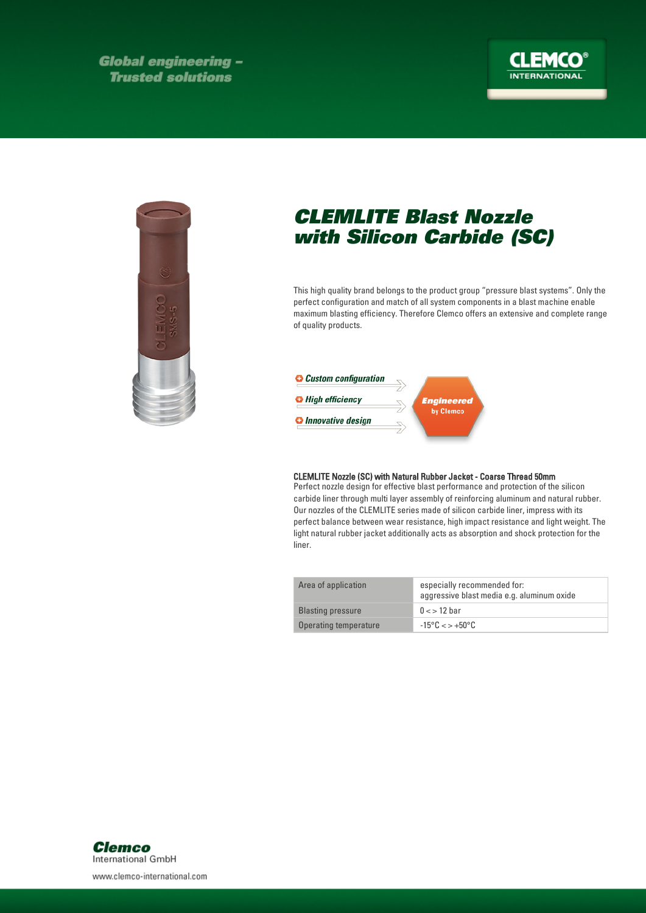**Global engineering -Trusted solutions** 





## CLEMLITE Blast Nozzle with Silicon Carbide (SC)

This high quality brand belongs to the product group "pressure blast systems". Only the perfect configuration and match of all system components in a blast machine enable maximum blasting efficiency. Therefore Clemco offers an extensive and complete range of quality products.



## CLEMLITE Nozzle (SC) with Natural Rubber Jacket - Coarse Thread 50mm

Perfect nozzle design for effective blast performance and protection of the silicon carbide liner through multi layer assembly of reinforcing aluminum and natural rubber. Our nozzles of the CLEMLITE series made of silicon carbide liner, impress with its perfect balance between wear resistance, high impact resistance and light weight. The light natural rubber jacket additionally acts as absorption and shock protection for the liner.

| Area of application      | especially recommended for:<br>aggressive blast media e.g. aluminum oxide |
|--------------------------|---------------------------------------------------------------------------|
| <b>Blasting pressure</b> | $0 \lt 12$ bar                                                            |
| Operating temperature    | $-15^{\circ}$ C $\lt$ $>$ $+50^{\circ}$ C                                 |